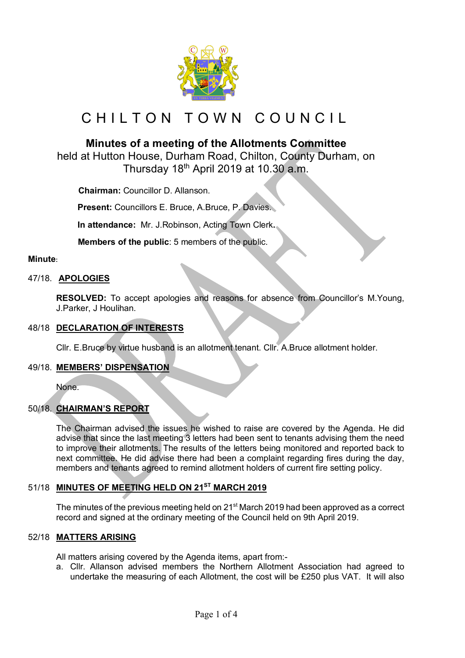

# CHILTON TOWN COUNCIL

## **Minutes of a meeting of the Allotments Committee**

held at Hutton House, Durham Road, Chilton, County Durham, on Thursday 18<sup>th</sup> April 2019 at 10.30 a.m.

 **Chairman:** Councillor D. Allanson.

**Present:** Councillors E. Bruce, A.Bruce, P. Davies.

**In attendance:** Mr. J.Robinson, Acting Town Clerk**.**

 **Members of the public**: 5 members of the public.

## **Minute:**

## 47/18. **APOLOGIES**

**RESOLVED:** To accept apologies and reasons for absence from Councillor's M.Young, J.Parker, J Houlihan.

## 48/18 **DECLARATION OF INTERESTS**

Cllr. E.Bruce by virtue husband is an allotment tenant. Cllr. A.Bruce allotment holder.

## 49/18. **MEMBERS' DISPENSATION**

None.

## 50/18. **CHAIRMAN'S REPORT**

The Chairman advised the issues he wished to raise are covered by the Agenda. He did advise that since the last meeting 3 letters had been sent to tenants advising them the need to improve their allotments. The results of the letters being monitored and reported back to next committee. He did advise there had been a complaint regarding fires during the day, members and tenants agreed to remind allotment holders of current fire setting policy.

## 51/18 **MINUTES OF MEETING HELD ON 21ST MARCH 2019**

The minutes of the previous meeting held on 21<sup>st</sup> March 2019 had been approved as a correct record and signed at the ordinary meeting of the Council held on 9th April 2019.

## 52/18 **MATTERS ARISING**

All matters arising covered by the Agenda items, apart from:-

a. Cllr. Allanson advised members the Northern Allotment Association had agreed to undertake the measuring of each Allotment, the cost will be £250 plus VAT. It will also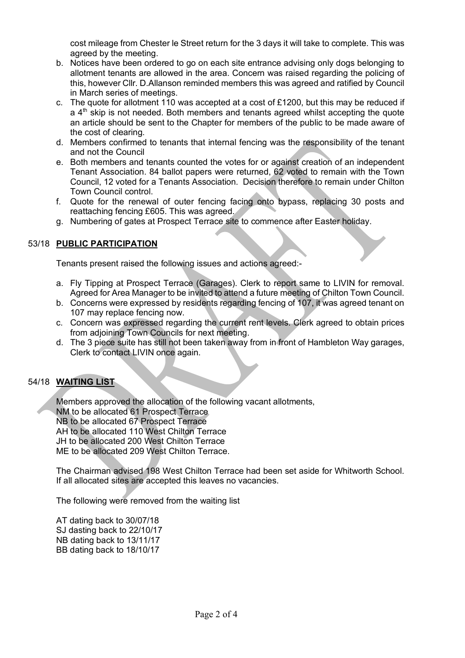cost mileage from Chester le Street return for the 3 days it will take to complete. This was agreed by the meeting.

- b. Notices have been ordered to go on each site entrance advising only dogs belonging to allotment tenants are allowed in the area. Concern was raised regarding the policing of this, however Cllr. D.Allanson reminded members this was agreed and ratified by Council in March series of meetings.
- c. The quote for allotment 110 was accepted at a cost of £1200, but this may be reduced if  $a$  4<sup>th</sup> skip is not needed. Both members and tenants agreed whilst accepting the quote an article should be sent to the Chapter for members of the public to be made aware of the cost of clearing.
- d. Members confirmed to tenants that internal fencing was the responsibility of the tenant and not the Council
- e. Both members and tenants counted the votes for or against creation of an independent Tenant Association. 84 ballot papers were returned, 62 voted to remain with the Town Council, 12 voted for a Tenants Association. Decision therefore to remain under Chilton Town Council control.
- f. Quote for the renewal of outer fencing facing onto bypass, replacing 30 posts and reattaching fencing £605. This was agreed.
- g. Numbering of gates at Prospect Terrace site to commence after Easter holiday.

## 53/18 **PUBLIC PARTICIPATION**

Tenants present raised the following issues and actions agreed:-

- a. Fly Tipping at Prospect Terrace (Garages). Clerk to report same to LIVIN for removal. Agreed for Area Manager to be invited to attend a future meeting of Chilton Town Council.
- b. Concerns were expressed by residents regarding fencing of 107, it was agreed tenant on 107 may replace fencing now.
- c. Concern was expressed regarding the current rent levels. Clerk agreed to obtain prices from adjoining Town Councils for next meeting.
- d. The 3 piece suite has still not been taken away from in front of Hambleton Way garages, Clerk to contact LIVIN once again.

## 54/18 **WAITING LIST**

Members approved the allocation of the following vacant allotments, NM to be allocated 61 Prospect Terrace NB to be allocated 67 Prospect Terrace AH to be allocated 110 West Chilton Terrace JH to be allocated 200 West Chilton Terrace ME to be allocated 209 West Chilton Terrace.

The Chairman advised 198 West Chilton Terrace had been set aside for Whitworth School. If all allocated sites are accepted this leaves no vacancies.

The following were removed from the waiting list

AT dating back to 30/07/18 SJ dasting back to 22/10/17 NB dating back to 13/11/17 BB dating back to 18/10/17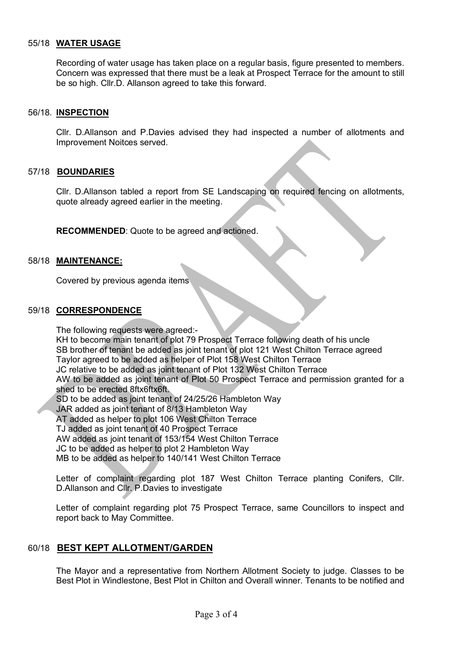## 55/18 **WATER USAGE**

Recording of water usage has taken place on a regular basis, figure presented to members. Concern was expressed that there must be a leak at Prospect Terrace for the amount to still be so high. Cllr.D. Allanson agreed to take this forward.

#### 56/18. **INSPECTION**

Cllr. D.Allanson and P.Davies advised they had inspected a number of allotments and Improvement Noitces served.

## 57/18 **BOUNDARIES**

Cllr. D.Allanson tabled a report from SE Landscaping on required fencing on allotments, quote already agreed earlier in the meeting.

**RECOMMENDED**: Quote to be agreed and actioned.

#### 58/18 **MAINTENANCE:**

Covered by previous agenda items

#### 59/18 **CORRESPONDENCE**

The following requests were agreed:- KH to become main tenant of plot 79 Prospect Terrace following death of his uncle SB brother of tenant be added as joint tenant of plot 121 West Chilton Terrace agreed Taylor agreed to be added as helper of Plot 158 West Chilton Terrace JC relative to be added as joint tenant of Plot 132 West Chilton Terrace AW to be added as joint tenant of Plot 50 Prospect Terrace and permission granted for a shed to be erected 8ftx6ftx6ft. SD to be added as joint tenant of 24/25/26 Hambleton Way JAR added as joint tenant of 8/13 Hambleton Way AT added as helper to plot 106 West Chilton Terrace TJ added as joint tenant of 40 Prospect Terrace AW added as joint tenant of 153/154 West Chilton Terrace JC to be added as helper to plot 2 Hambleton Way MB to be added as helper to 140/141 West Chilton Terrace

Letter of complaint regarding plot 187 West Chilton Terrace planting Conifers, Cllr. D.Allanson and Cllr. P.Davies to investigate

Letter of complaint regarding plot 75 Prospect Terrace, same Councillors to inspect and report back to May Committee.

## 60/18 **BEST KEPT ALLOTMENT/GARDEN**

The Mayor and a representative from Northern Allotment Society to judge. Classes to be Best Plot in Windlestone, Best Plot in Chilton and Overall winner. Tenants to be notified and